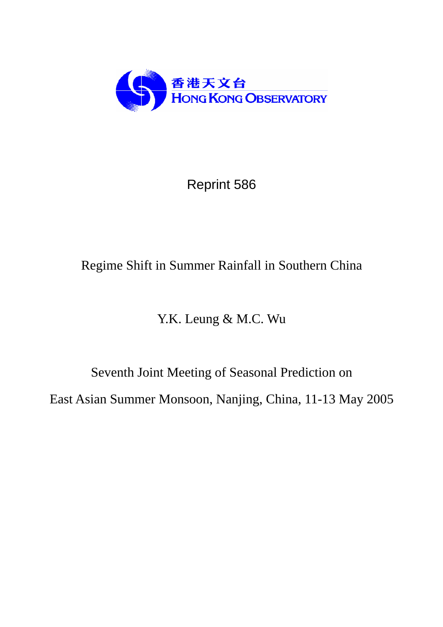

Reprint 586

# Regime Shift in Summer Rainfall in Southern China

Y.K. Leung & M.C. Wu

Seventh Joint Meeting of Seasonal Prediction on East Asian Summer Monsoon, Nanjing, China, 11-13 May 2005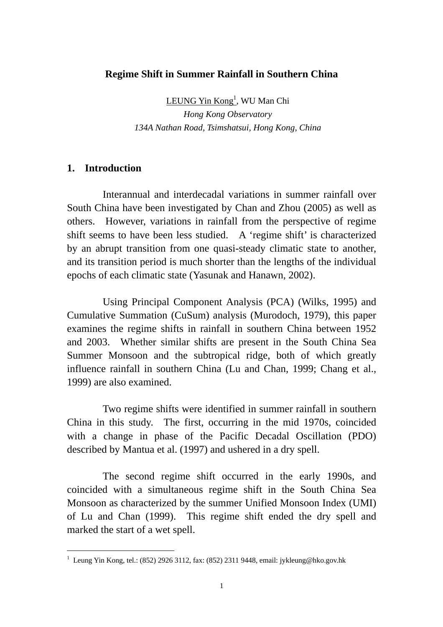#### **Regime Shift in Summer Rainfall in Southern China**

LEUNG Yin Kong<sup>1</sup>, WU Man Chi *Hong Kong Observatory 134A Nathan Road, Tsimshatsui, Hong Kong, China* 

#### **1. Introduction**

 $\overline{a}$ 

Interannual and interdecadal variations in summer rainfall over South China have been investigated by Chan and Zhou (2005) as well as others. However, variations in rainfall from the perspective of regime shift seems to have been less studied. A 'regime shift' is characterized by an abrupt transition from one quasi-steady climatic state to another, and its transition period is much shorter than the lengths of the individual epochs of each climatic state (Yasunak and Hanawn, 2002).

Using Principal Component Analysis (PCA) (Wilks, 1995) and Cumulative Summation (CuSum) analysis (Murodoch, 1979), this paper examines the regime shifts in rainfall in southern China between 1952 and 2003. Whether similar shifts are present in the South China Sea Summer Monsoon and the subtropical ridge, both of which greatly influence rainfall in southern China (Lu and Chan, 1999; Chang et al., 1999) are also examined.

Two regime shifts were identified in summer rainfall in southern China in this study. The first, occurring in the mid 1970s, coincided with a change in phase of the Pacific Decadal Oscillation (PDO) described by Mantua et al. (1997) and ushered in a dry spell.

The second regime shift occurred in the early 1990s, and coincided with a simultaneous regime shift in the South China Sea Monsoon as characterized by the summer Unified Monsoon Index (UMI) of Lu and Chan (1999). This regime shift ended the dry spell and marked the start of a wet spell.

<sup>&</sup>lt;sup>1</sup> Leung Yin Kong, tel.: (852) 2926 3112, fax: (852) 2311 9448, email: jykleung@hko.gov.hk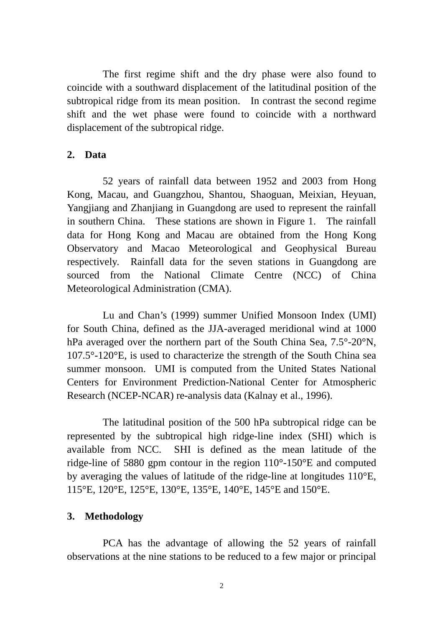The first regime shift and the dry phase were also found to coincide with a southward displacement of the latitudinal position of the subtropical ridge from its mean position. In contrast the second regime shift and the wet phase were found to coincide with a northward displacement of the subtropical ridge.

### **2. Data**

52 years of rainfall data between 1952 and 2003 from Hong Kong, Macau, and Guangzhou, Shantou, Shaoguan, Meixian, Heyuan, Yangjiang and Zhanjiang in Guangdong are used to represent the rainfall in southern China. These stations are shown in Figure 1. The rainfall data for Hong Kong and Macau are obtained from the Hong Kong Observatory and Macao Meteorological and Geophysical Bureau respectively. Rainfall data for the seven stations in Guangdong are sourced from the National Climate Centre (NCC) of China Meteorological Administration (CMA).

Lu and Chan's (1999) summer Unified Monsoon Index (UMI) for South China, defined as the JJA-averaged meridional wind at 1000 hPa averaged over the northern part of the South China Sea, 7.5°-20°N, 107.5°-120°E, is used to characterize the strength of the South China sea summer monsoon. UMI is computed from the United States National Centers for Environment Prediction-National Center for Atmospheric Research (NCEP-NCAR) re-analysis data (Kalnay et al., 1996).

The latitudinal position of the 500 hPa subtropical ridge can be represented by the subtropical high ridge-line index (SHI) which is available from NCC. SHI is defined as the mean latitude of the ridge-line of 5880 gpm contour in the region 110°-150°E and computed by averaging the values of latitude of the ridge-line at longitudes 110°E, 115°E, 120°E, 125°E, 130°E, 135°E, 140°E, 145°E and 150°E.

### **3. Methodology**

 PCA has the advantage of allowing the 52 years of rainfall observations at the nine stations to be reduced to a few major or principal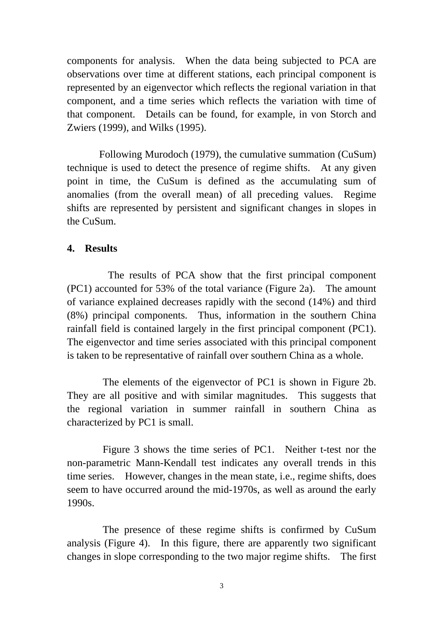components for analysis. When the data being subjected to PCA are observations over time at different stations, each principal component is represented by an eigenvector which reflects the regional variation in that component, and a time series which reflects the variation with time of that component. Details can be found, for example, in von Storch and Zwiers (1999), and Wilks (1995).

 Following Murodoch (1979), the cumulative summation (CuSum) technique is used to detect the presence of regime shifts. At any given point in time, the CuSum is defined as the accumulating sum of anomalies (from the overall mean) of all preceding values. Regime shifts are represented by persistent and significant changes in slopes in the CuSum.

## **4. Results**

 The results of PCA show that the first principal component (PC1) accounted for 53% of the total variance (Figure 2a). The amount of variance explained decreases rapidly with the second (14%) and third (8%) principal components. Thus, information in the southern China rainfall field is contained largely in the first principal component (PC1). The eigenvector and time series associated with this principal component is taken to be representative of rainfall over southern China as a whole.

The elements of the eigenvector of PC1 is shown in Figure 2b. They are all positive and with similar magnitudes. This suggests that the regional variation in summer rainfall in southern China as characterized by PC1 is small.

 Figure 3 shows the time series of PC1. Neither t-test nor the non-parametric Mann-Kendall test indicates any overall trends in this time series. However, changes in the mean state, i.e., regime shifts, does seem to have occurred around the mid-1970s, as well as around the early 1990s.

The presence of these regime shifts is confirmed by CuSum analysis (Figure 4). In this figure, there are apparently two significant changes in slope corresponding to the two major regime shifts. The first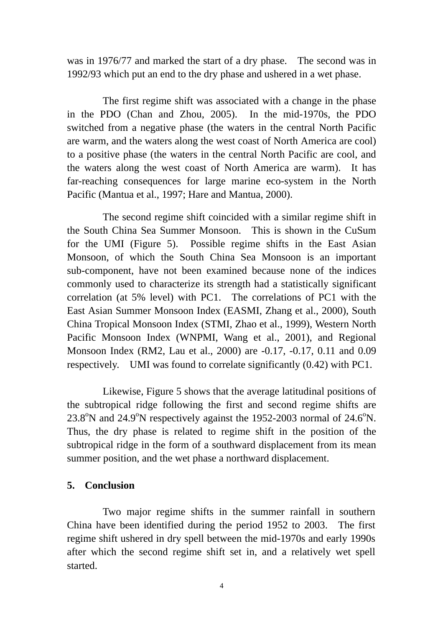was in 1976/77 and marked the start of a dry phase. The second was in 1992/93 which put an end to the dry phase and ushered in a wet phase.

The first regime shift was associated with a change in the phase in the PDO (Chan and Zhou, 2005). In the mid-1970s, the PDO switched from a negative phase (the waters in the central North Pacific are warm, and the waters along the west coast of North America are cool) to a positive phase (the waters in the central North Pacific are cool, and the waters along the west coast of North America are warm). It has far-reaching consequences for large marine eco-system in the North Pacific (Mantua et al., 1997; Hare and Mantua, 2000).

The second regime shift coincided with a similar regime shift in the South China Sea Summer Monsoon. This is shown in the CuSum for the UMI (Figure 5). Possible regime shifts in the East Asian Monsoon, of which the South China Sea Monsoon is an important sub-component, have not been examined because none of the indices commonly used to characterize its strength had a statistically significant correlation (at 5% level) with PC1. The correlations of PC1 with the East Asian Summer Monsoon Index (EASMI, Zhang et al., 2000), South China Tropical Monsoon Index (STMI, Zhao et al., 1999), Western North Pacific Monsoon Index (WNPMI, Wang et al., 2001), and Regional Monsoon Index (RM2, Lau et al., 2000) are -0.17, -0.17, 0.11 and 0.09 respectively. UMI was found to correlate significantly (0.42) with PC1.

Likewise, Figure 5 shows that the average latitudinal positions of the subtropical ridge following the first and second regime shifts are  $23.8^{\circ}$ N and  $24.9^{\circ}$ N respectively against the 1952-2003 normal of 24.6 $^{\circ}$ N. Thus, the dry phase is related to regime shift in the position of the subtropical ridge in the form of a southward displacement from its mean summer position, and the wet phase a northward displacement.

# **5. Conclusion**

Two major regime shifts in the summer rainfall in southern China have been identified during the period 1952 to 2003. The first regime shift ushered in dry spell between the mid-1970s and early 1990s after which the second regime shift set in, and a relatively wet spell started.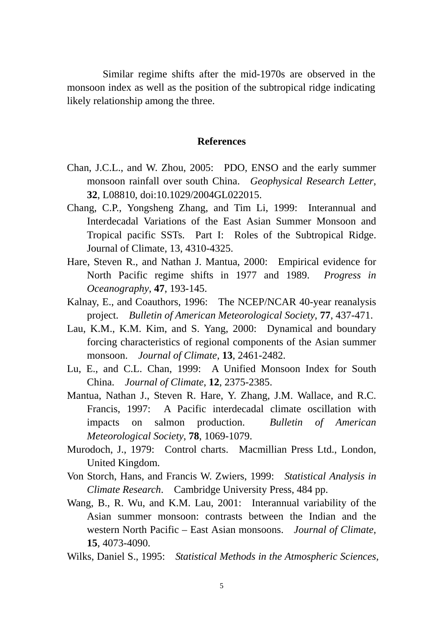Similar regime shifts after the mid-1970s are observed in the monsoon index as well as the position of the subtropical ridge indicating likely relationship among the three.

#### **References**

- Chan, J.C.L., and W. Zhou, 2005: PDO, ENSO and the early summer monsoon rainfall over south China. *Geophysical Research Letter*, **32**, L08810, doi:10.1029/2004GL022015.
- Chang, C.P., Yongsheng Zhang, and Tim Li, 1999: Interannual and Interdecadal Variations of the East Asian Summer Monsoon and Tropical pacific SSTs. Part I: Roles of the Subtropical Ridge. Journal of Climate, 13, 4310-4325.
- Hare, Steven R., and Nathan J. Mantua, 2000: Empirical evidence for North Pacific regime shifts in 1977 and 1989. *Progress in Oceanography*, **47**, 193-145.
- Kalnay, E., and Coauthors, 1996: The NCEP/NCAR 40-year reanalysis project. *Bulletin of American Meteorological Society*, **77**, 437-471.
- Lau, K.M., K.M. Kim, and S. Yang, 2000: Dynamical and boundary forcing characteristics of regional components of the Asian summer monsoon. *Journal of Climate*, **13**, 2461-2482.
- Lu, E., and C.L. Chan, 1999: A Unified Monsoon Index for South China. *Journal of Climate*, **12**, 2375-2385.
- Mantua, Nathan J., Steven R. Hare, Y. Zhang, J.M. Wallace, and R.C. Francis, 1997: A Pacific interdecadal climate oscillation with impacts on salmon production. *Bulletin of American Meteorological Society*, **78**, 1069-1079.
- Murodoch, J., 1979: Control charts. Macmillian Press Ltd., London, United Kingdom.
- Von Storch, Hans, and Francis W. Zwiers, 1999: *Statistical Analysis in Climate Research*. Cambridge University Press, 484 pp.
- Wang, B., R. Wu, and K.M. Lau, 2001: Interannual variability of the Asian summer monsoon: contrasts between the Indian and the western North Pacific – East Asian monsoons. *Journal of Climate*, **15**, 4073-4090.
- Wilks, Daniel S., 1995: *Statistical Methods in the Atmospheric Sciences,*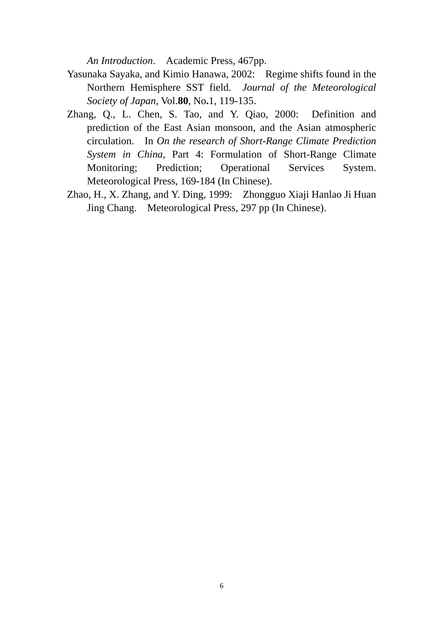*An Introduction*. Academic Press, 467pp.

- Yasunaka Sayaka, and Kimio Hanawa, 2002: Regime shifts found in the Northern Hemisphere SST field. *Journal of the Meteorological Society of Japan*, Vol.**80**, No**.**1, 119-135.
- Zhang, Q., L. Chen, S. Tao, and Y. Qiao, 2000: Definition and prediction of the East Asian monsoon, and the Asian atmospheric circulation. In *On the research of Short-Range Climate Prediction System in China*, Part 4: Formulation of Short-Range Climate Monitoring; Prediction; Operational Services System. Meteorological Press, 169-184 (In Chinese).
- Zhao, H., X. Zhang, and Y. Ding, 1999: Zhongguo Xiaji Hanlao Ji Huan Jing Chang. Meteorological Press, 297 pp (In Chinese).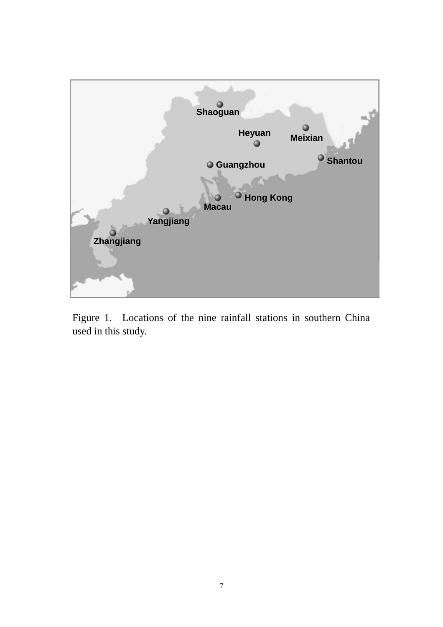

Figure 1. Locations of the nine rainfall stations in southern China used in this study.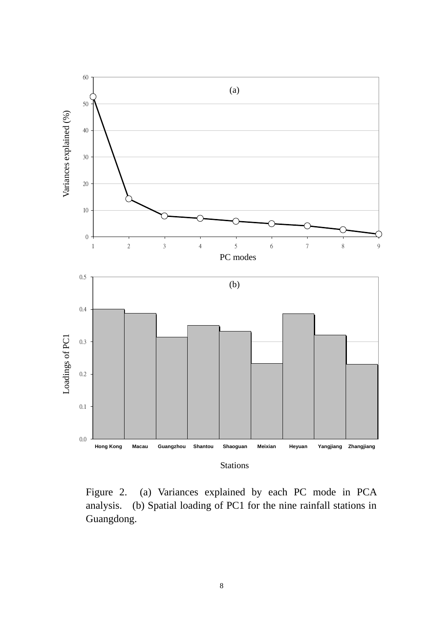

Figure 2. (a) Variances explained by each PC mode in PCA analysis. (b) Spatial loading of PC1 for the nine rainfall stations in Guangdong.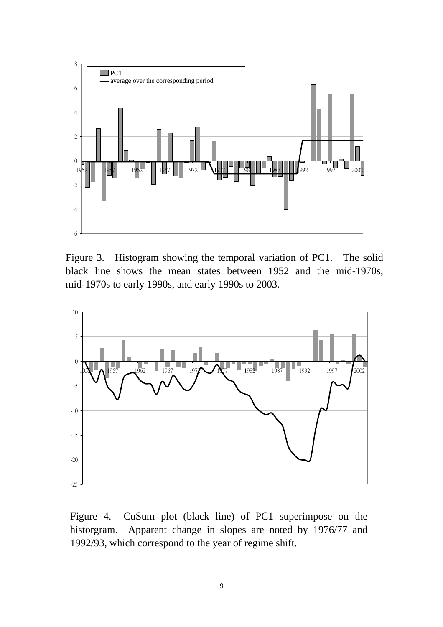

Figure 3. Histogram showing the temporal variation of PC1. The solid black line shows the mean states between 1952 and the mid-1970s, mid-1970s to early 1990s, and early 1990s to 2003.



Figure 4. CuSum plot (black line) of PC1 superimpose on the historgram. Apparent change in slopes are noted by 1976/77 and 1992/93, which correspond to the year of regime shift.